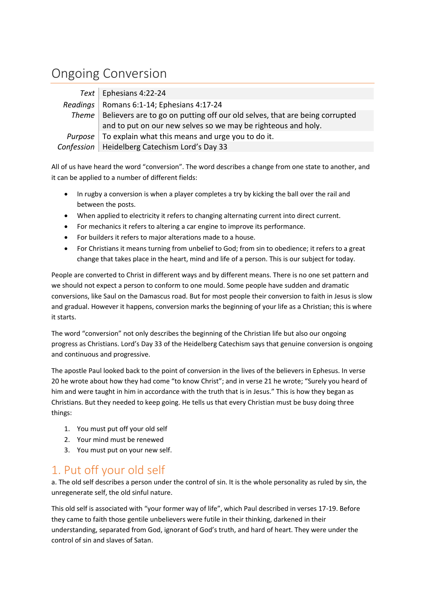## Ongoing Conversion

| Text   Ephesians 4:22-24                                                            |
|-------------------------------------------------------------------------------------|
| Readings   Romans 6:1-14; Ephesians 4:17-24                                         |
| Theme   Believers are to go on putting off our old selves, that are being corrupted |
| and to put on our new selves so we may be righteous and holy.                       |
| <i>Purpose</i>   To explain what this means and urge you to do it.                  |
| Confession   Heidelberg Catechism Lord's Day 33                                     |

All of us have heard the word "conversion". The word describes a change from one state to another, and it can be applied to a number of different fields:

- In rugby a conversion is when a player completes a try by kicking the ball over the rail and between the posts.
- When applied to electricity it refers to changing alternating current into direct current.
- For mechanics it refers to altering a car engine to improve its performance.
- For builders it refers to major alterations made to a house.
- For Christians it means turning from unbelief to God; from sin to obedience; it refers to a great change that takes place in the heart, mind and life of a person. This is our subject for today.

People are converted to Christ in different ways and by different means. There is no one set pattern and we should not expect a person to conform to one mould. Some people have sudden and dramatic conversions, like Saul on the Damascus road. But for most people their conversion to faith in Jesus is slow and gradual. However it happens, conversion marks the beginning of your life as a Christian; this is where it starts.

The word "conversion" not only describes the beginning of the Christian life but also our ongoing progress as Christians. Lord's Day 33 of the Heidelberg Catechism says that genuine conversion is ongoing and continuous and progressive.

The apostle Paul looked back to the point of conversion in the lives of the believers in Ephesus. In verse 20 he wrote about how they had come "to know Christ"; and in verse 21 he wrote; "Surely you heard of him and were taught in him in accordance with the truth that is in Jesus." This is how they began as Christians. But they needed to keep going. He tells us that every Christian must be busy doing three things:

- 1. You must put off your old self
- 2. Your mind must be renewed
- 3. You must put on your new self.

## 1. Put off your old self

a. The old self describes a person under the control of sin. It is the whole personality as ruled by sin, the unregenerate self, the old sinful nature.

This old self is associated with "your former way of life", which Paul described in verses 17-19. Before they came to faith those gentile unbelievers were futile in their thinking, darkened in their understanding, separated from God, ignorant of God's truth, and hard of heart. They were under the control of sin and slaves of Satan.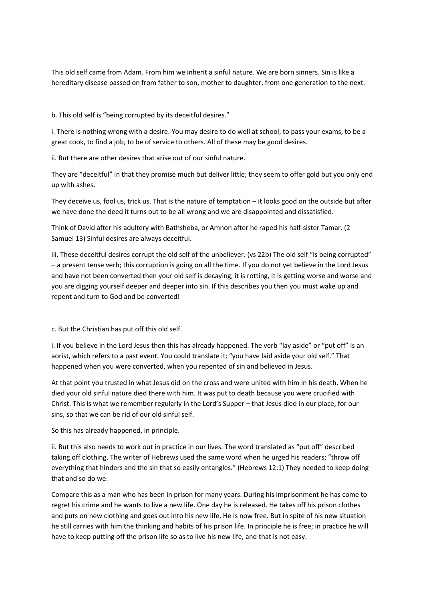This old self came from Adam. From him we inherit a sinful nature. We are born sinners. Sin is like a hereditary disease passed on from father to son, mother to daughter, from one generation to the next.

b. This old self is "being corrupted by its deceitful desires."

i. There is nothing wrong with a desire. You may desire to do well at school, to pass your exams, to be a great cook, to find a job, to be of service to others. All of these may be good desires.

ii. But there are other desires that arise out of our sinful nature.

They are "deceitful" in that they promise much but deliver little; they seem to offer gold but you only end up with ashes.

They deceive us, fool us, trick us. That is the nature of temptation – it looks good on the outside but after we have done the deed it turns out to be all wrong and we are disappointed and dissatisfied.

Think of David after his adultery with Bathsheba, or Amnon after he raped his half-sister Tamar. (2 Samuel 13) Sinful desires are always deceitful.

iii. These deceitful desires corrupt the old self of the unbeliever. (vs 22b) The old self "is being corrupted" – a present tense verb; this corruption is going on all the time. If you do not yet believe in the Lord Jesus and have not been converted then your old self is decaying, it is rotting, it is getting worse and worse and you are digging yourself deeper and deeper into sin. If this describes you then you must wake up and repent and turn to God and be converted!

c. But the Christian has put off this old self.

i. If you believe in the Lord Jesus then this has already happened. The verb "lay aside" or "put off" is an aorist, which refers to a past event. You could translate it; "you have laid aside your old self." That happened when you were converted, when you repented of sin and believed in Jesus.

At that point you trusted in what Jesus did on the cross and were united with him in his death. When he died your old sinful nature died there with him. It was put to death because you were crucified with Christ. This is what we remember regularly in the Lord's Supper – that Jesus died in our place, for our sins, so that we can be rid of our old sinful self.

So this has already happened, in principle.

ii. But this also needs to work out in practice in our lives. The word translated as "put off" described taking off clothing. The writer of Hebrews used the same word when he urged his readers; "throw off everything that hinders and the sin that so easily entangles." (Hebrews 12:1) They needed to keep doing that and so do we.

Compare this as a man who has been in prison for many years. During his imprisonment he has come to regret his crime and he wants to live a new life. One day he is released. He takes off his prison clothes and puts on new clothing and goes out into his new life. He is now free. But in spite of his new situation he still carries with him the thinking and habits of his prison life. In principle he is free; in practice he will have to keep putting off the prison life so as to live his new life, and that is not easy.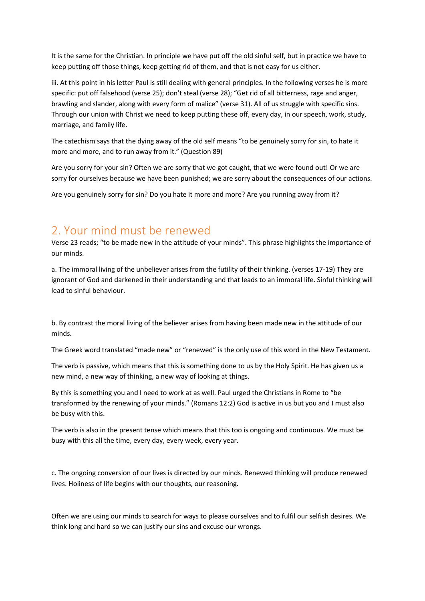It is the same for the Christian. In principle we have put off the old sinful self, but in practice we have to keep putting off those things, keep getting rid of them, and that is not easy for us either.

iii. At this point in his letter Paul is still dealing with general principles. In the following verses he is more specific: put off falsehood (verse 25); don't steal (verse 28); "Get rid of all bitterness, rage and anger, brawling and slander, along with every form of malice" (verse 31). All of us struggle with specific sins. Through our union with Christ we need to keep putting these off, every day, in our speech, work, study, marriage, and family life.

The catechism says that the dying away of the old self means "to be genuinely sorry for sin, to hate it more and more, and to run away from it." (Question 89)

Are you sorry for your sin? Often we are sorry that we got caught, that we were found out! Or we are sorry for ourselves because we have been punished; we are sorry about the consequences of our actions.

Are you genuinely sorry for sin? Do you hate it more and more? Are you running away from it?

## 2. Your mind must be renewed

Verse 23 reads; "to be made new in the attitude of your minds". This phrase highlights the importance of our minds.

a. The immoral living of the unbeliever arises from the futility of their thinking. (verses 17-19) They are ignorant of God and darkened in their understanding and that leads to an immoral life. Sinful thinking will lead to sinful behaviour.

b. By contrast the moral living of the believer arises from having been made new in the attitude of our minds.

The Greek word translated "made new" or "renewed" is the only use of this word in the New Testament.

The verb is passive, which means that this is something done to us by the Holy Spirit. He has given us a new mind, a new way of thinking, a new way of looking at things.

By this is something you and I need to work at as well. Paul urged the Christians in Rome to "be transformed by the renewing of your minds." (Romans 12:2) God is active in us but you and I must also be busy with this.

The verb is also in the present tense which means that this too is ongoing and continuous. We must be busy with this all the time, every day, every week, every year.

c. The ongoing conversion of our lives is directed by our minds. Renewed thinking will produce renewed lives. Holiness of life begins with our thoughts, our reasoning.

Often we are using our minds to search for ways to please ourselves and to fulfil our selfish desires. We think long and hard so we can justify our sins and excuse our wrongs.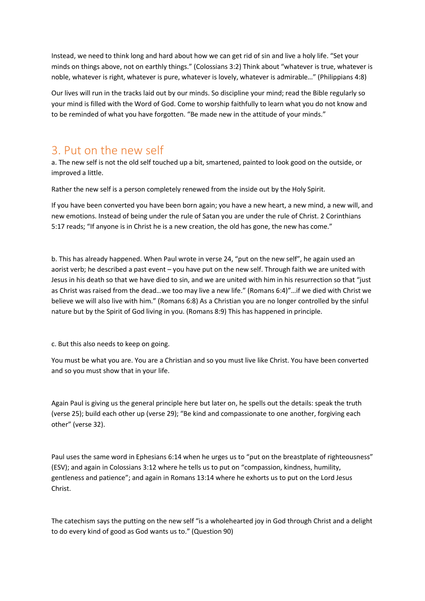Instead, we need to think long and hard about how we can get rid of sin and live a holy life. "Set your minds on things above, not on earthly things." (Colossians 3:2) Think about "whatever is true, whatever is noble, whatever is right, whatever is pure, whatever is lovely, whatever is admirable…" (Philippians 4:8)

Our lives will run in the tracks laid out by our minds. So discipline your mind; read the Bible regularly so your mind is filled with the Word of God. Come to worship faithfully to learn what you do not know and to be reminded of what you have forgotten. "Be made new in the attitude of your minds."

## 3. Put on the new self

a. The new self is not the old self touched up a bit, smartened, painted to look good on the outside, or improved a little.

Rather the new self is a person completely renewed from the inside out by the Holy Spirit.

If you have been converted you have been born again; you have a new heart, a new mind, a new will, and new emotions. Instead of being under the rule of Satan you are under the rule of Christ. 2 Corinthians 5:17 reads; "If anyone is in Christ he is a new creation, the old has gone, the new has come."

b. This has already happened. When Paul wrote in verse 24, "put on the new self", he again used an aorist verb; he described a past event – you have put on the new self. Through faith we are united with Jesus in his death so that we have died to sin, and we are united with him in his resurrection so that "just as Christ was raised from the dead…we too may live a new life." (Romans 6:4)"…if we died with Christ we believe we will also live with him." (Romans 6:8) As a Christian you are no longer controlled by the sinful nature but by the Spirit of God living in you. (Romans 8:9) This has happened in principle.

c. But this also needs to keep on going.

You must be what you are. You are a Christian and so you must live like Christ. You have been converted and so you must show that in your life.

Again Paul is giving us the general principle here but later on, he spells out the details: speak the truth (verse 25); build each other up (verse 29); "Be kind and compassionate to one another, forgiving each other" (verse 32).

Paul uses the same word in Ephesians 6:14 when he urges us to "put on the breastplate of righteousness" (ESV); and again in Colossians 3:12 where he tells us to put on "compassion, kindness, humility, gentleness and patience"; and again in Romans 13:14 where he exhorts us to put on the Lord Jesus Christ.

The catechism says the putting on the new self "is a wholehearted joy in God through Christ and a delight to do every kind of good as God wants us to." (Question 90)